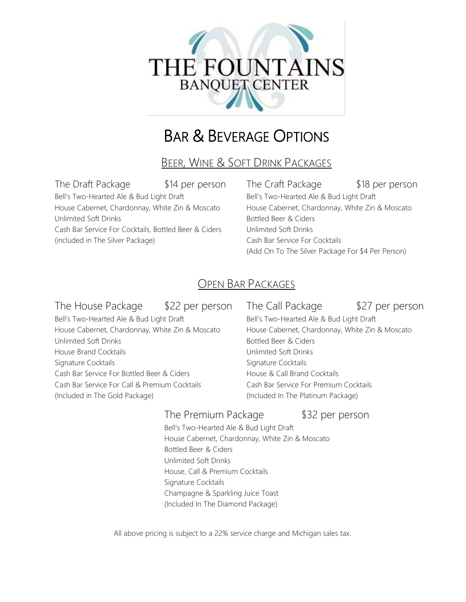

# BAR & BEVERAGE OPTIONS

BEER, WINE & SOFT DRINK PACKAGES

Bell's Two-Hearted Ale & Bud Light Draft Bell's Two-Hearted Ale & Bud Light Draft House Cabernet, Chardonnay, White Zin & Moscato House Cabernet, Chardonnay, White Zin & Moscato Unlimited Soft Drinks **Bottled Beer & Ciders** Bottled Beer & Ciders Cash Bar Service For Cocktails, Bottled Beer & Ciders Unlimited Soft Drinks (included in The Silver Package) Cash Bar Service For Cocktails

The Draft Package  $$14$  per person The Craft Package \$18 per person (Add On To The Silver Package For \$4 Per Person)

# OPEN BAR PACKAGES

## The House Package \$22 per person The Call Package \$27 per person

Bell's Two-Hearted Ale & Bud Light Draft Bell's Two-Hearted Ale & Bud Light Draft House Cabernet, Chardonnay, White Zin & Moscato House Cabernet, Chardonnay, White Zin & Moscato Unlimited Soft Drinks and Drinks and Drinks Bottled Beer & Ciders House Brand Cocktails **Notifiantly Soft Drinks** Unlimited Soft Drinks Signature Cocktails **Signature Cocktails** Signature Cocktails Cash Bar Service For Bottled Beer & Ciders **House & Call Brand Cocktails** Cash Bar Service For Call & Premium Cocktails Cash Bar Service For Premium Cocktails (Included in The Gold Package) (Included In The Platinum Package)

## The Premium Package \$32 per person

Bell's Two-Hearted Ale & Bud Light Draft House Cabernet, Chardonnay, White Zin & Moscato Bottled Beer & Ciders Unlimited Soft Drinks House, Call & Premium Cocktails Signature Cocktails Champagne & Sparkling Juice Toast (Included In The Diamond Package)

All above pricing is subject to a 22% service charge and Michigan sales tax.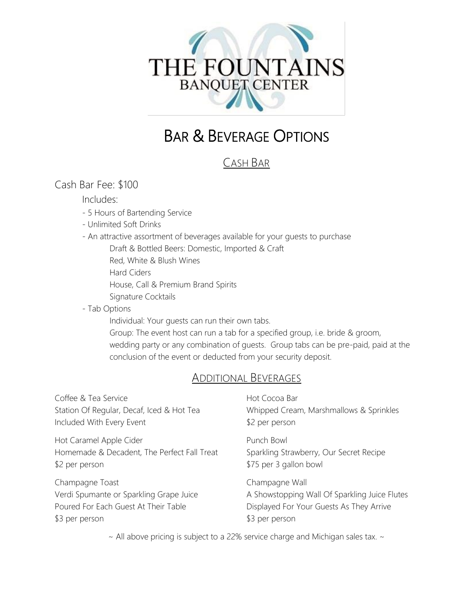

# BAR & BEVERAGE OPTIONS

# CASH BAR

## Cash Bar Fee: \$100

#### Includes:

- 5 Hours of Bartending Service
- Unlimited Soft Drinks
- An attractive assortment of beverages available for your guests to purchase
	- Draft & Bottled Beers: Domestic, Imported & Craft
	- Red, White & Blush Wines
	- Hard Ciders
	- House, Call & Premium Brand Spirits
	- Signature Cocktails
- Tab Options

Individual: Your guests can run their own tabs.

Group: The event host can run a tab for a specified group, i.e. bride & groom, wedding party or any combination of guests. Group tabs can be pre-paid, paid at the conclusion of the event or deducted from your security deposit.

## ADDITIONAL BEVERAGES

| Coffee & Tea Service                                                                                                 | Hot Cocoa Bar                                                                                                                 |
|----------------------------------------------------------------------------------------------------------------------|-------------------------------------------------------------------------------------------------------------------------------|
| Station Of Regular, Decaf, Iced & Hot Tea                                                                            | Whipped Cream, Marshmallows & Sprinkles                                                                                       |
| Included With Every Event                                                                                            | \$2 per person                                                                                                                |
| Hot Caramel Apple Cider<br>Homemade & Decadent, The Perfect Fall Treat<br>\$2 per person                             | Punch Bowl<br>Sparkling Strawberry, Our Secret Recipe<br>\$75 per 3 gallon bowl                                               |
| Champagne Toast<br>Verdi Spumante or Sparkling Grape Juice<br>Poured For Each Guest At Their Table<br>\$3 per person | Champagne Wall<br>A Showstopping Wall Of Sparkling Juice Flutes<br>Displayed For Your Guests As They Arrive<br>\$3 per person |
|                                                                                                                      | المستحد المجاري والمناط والمستحدث والمستحدث والمتحدث والمتحار والمتحارب والمتحدث والمستحدث والمستحدث                          |

 $\sim$  All above pricing is subject to a 22% service charge and Michigan sales tax.  $\sim$